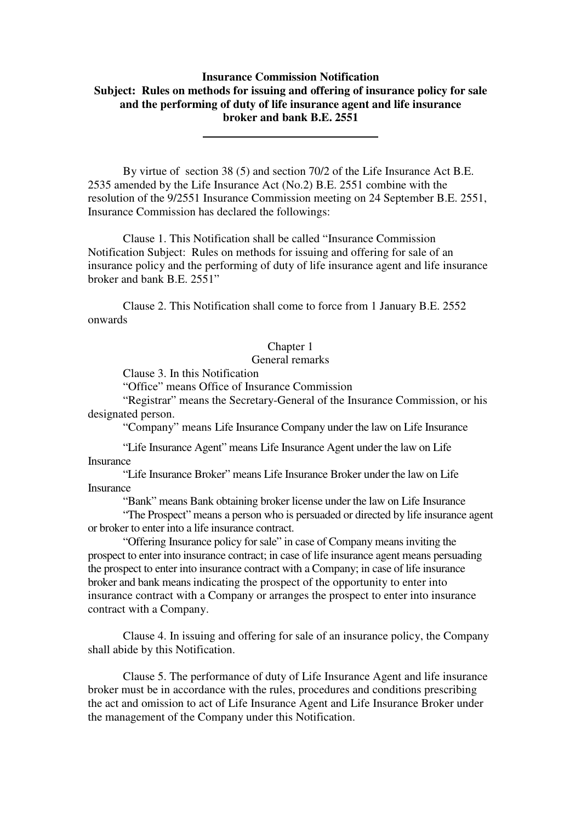# **Insurance Commission Notification Subject: Rules on methods for issuing and offering of insurance policy for sale and the performing of duty of life insurance agent and life insurance broker and bank B.E. 2551**

By virtue of section 38 (5) and section 70/2 of the Life Insurance Act B.E. 2535 amended by the Life Insurance Act (No.2) B.E. 2551 combine with the resolution of the 9/2551 Insurance Commission meeting on 24 September B.E. 2551, Insurance Commission has declared the followings:

Clause 1. This Notification shall be called "Insurance Commission Notification Subject: Rules on methods for issuing and offering for sale of an insurance policy and the performing of duty of life insurance agent and life insurance broker and bank B.E. 2551"

Clause 2. This Notification shall come to force from 1 January B.E. 2552 onwards

## Chapter 1

## General remarks

Clause 3. In this Notification

"Office" means Office of Insurance Commission

"Registrar" means the Secretary-General of the Insurance Commission, or his designated person.

"Company" means Life Insurance Company under the law on Life Insurance

 "Life Insurance Agent" means Life Insurance Agent under the law on Life **Insurance** 

 "Life Insurance Broker" means Life Insurance Broker under the law on Life Insurance

"Bank" means Bank obtaining broker license under the law on Life Insurance

"The Prospect" means a person who is persuaded or directed by life insurance agent or broker to enter into a life insurance contract.

"Offering Insurance policy for sale" in case of Company means inviting the prospect to enter into insurance contract; in case of life insurance agent means persuading the prospect to enter into insurance contract with a Company; in case of life insurance broker and bank means indicating the prospect of the opportunity to enter into insurance contract with a Company or arranges the prospect to enter into insurance contract with a Company.

Clause 4. In issuing and offering for sale of an insurance policy, the Company shall abide by this Notification.

Clause 5. The performance of duty of Life Insurance Agent and life insurance broker must be in accordance with the rules, procedures and conditions prescribing the act and omission to act of Life Insurance Agent and Life Insurance Broker under the management of the Company under this Notification.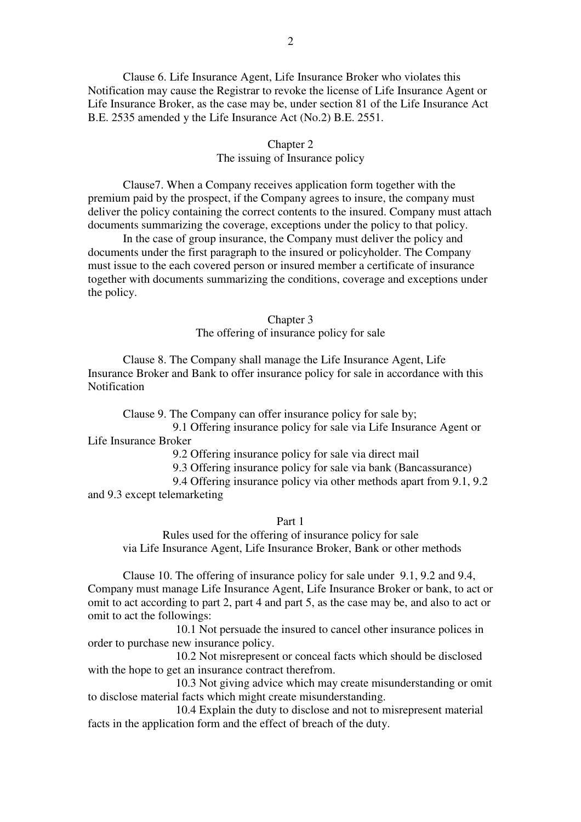Clause 6. Life Insurance Agent, Life Insurance Broker who violates this Notification may cause the Registrar to revoke the license of Life Insurance Agent or Life Insurance Broker, as the case may be, under section 81 of the Life Insurance Act B.E. 2535 amended y the Life Insurance Act (No.2) B.E. 2551.

### Chapter 2

## The issuing of Insurance policy

Clause7. When a Company receives application form together with the premium paid by the prospect, if the Company agrees to insure, the company must deliver the policy containing the correct contents to the insured. Company must attach documents summarizing the coverage, exceptions under the policy to that policy.

In the case of group insurance, the Company must deliver the policy and documents under the first paragraph to the insured or policyholder. The Company must issue to the each covered person or insured member a certificate of insurance together with documents summarizing the conditions, coverage and exceptions under the policy.

#### Chapter 3

The offering of insurance policy for sale

Clause 8. The Company shall manage the Life Insurance Agent, Life Insurance Broker and Bank to offer insurance policy for sale in accordance with this **Notification** 

Clause 9. The Company can offer insurance policy for sale by; 9.1 Offering insurance policy for sale via Life Insurance Agent or Life Insurance Broker

9.2 Offering insurance policy for sale via direct mail

9.3 Offering insurance policy for sale via bank (Bancassurance)

 9.4 Offering insurance policy via other methods apart from 9.1, 9.2 and 9.3 except telemarketing

Part 1

Rules used for the offering of insurance policy for sale via Life Insurance Agent, Life Insurance Broker, Bank or other methods

Clause 10. The offering of insurance policy for sale under 9.1, 9.2 and 9.4, Company must manage Life Insurance Agent, Life Insurance Broker or bank, to act or omit to act according to part 2, part 4 and part 5, as the case may be, and also to act or omit to act the followings:

10.1 Not persuade the insured to cancel other insurance polices in order to purchase new insurance policy.

10.2 Not misrepresent or conceal facts which should be disclosed with the hope to get an insurance contract therefrom.

10.3 Not giving advice which may create misunderstanding or omit to disclose material facts which might create misunderstanding.

10.4 Explain the duty to disclose and not to misrepresent material facts in the application form and the effect of breach of the duty.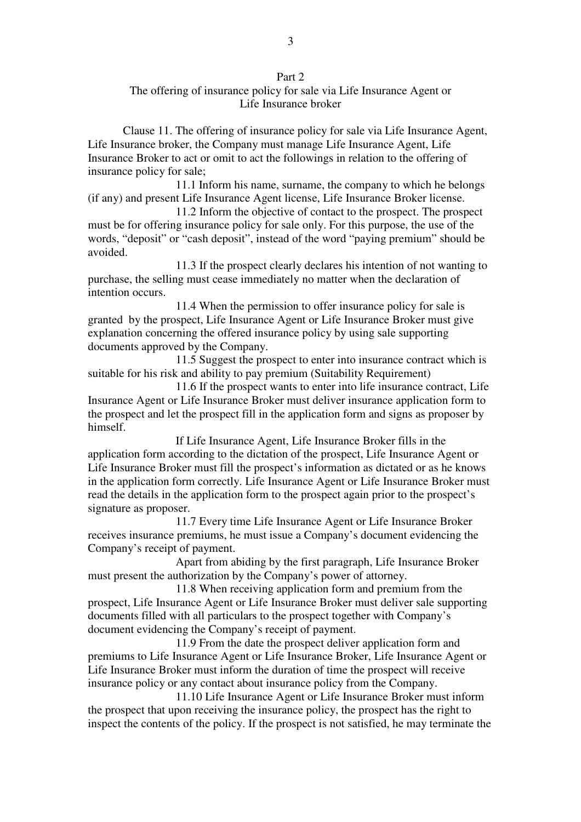## Part 2

# The offering of insurance policy for sale via Life Insurance Agent or Life Insurance broker

Clause 11. The offering of insurance policy for sale via Life Insurance Agent, Life Insurance broker, the Company must manage Life Insurance Agent, Life Insurance Broker to act or omit to act the followings in relation to the offering of insurance policy for sale;

11.1 Inform his name, surname, the company to which he belongs (if any) and present Life Insurance Agent license, Life Insurance Broker license.

11.2 Inform the objective of contact to the prospect. The prospect must be for offering insurance policy for sale only. For this purpose, the use of the words, "deposit" or "cash deposit", instead of the word "paying premium" should be avoided.

11.3 If the prospect clearly declares his intention of not wanting to purchase, the selling must cease immediately no matter when the declaration of intention occurs.

11.4 When the permission to offer insurance policy for sale is granted by the prospect, Life Insurance Agent or Life Insurance Broker must give explanation concerning the offered insurance policy by using sale supporting documents approved by the Company.

11.5 Suggest the prospect to enter into insurance contract which is suitable for his risk and ability to pay premium (Suitability Requirement)

11.6 If the prospect wants to enter into life insurance contract, Life Insurance Agent or Life Insurance Broker must deliver insurance application form to the prospect and let the prospect fill in the application form and signs as proposer by himself.

If Life Insurance Agent, Life Insurance Broker fills in the application form according to the dictation of the prospect, Life Insurance Agent or Life Insurance Broker must fill the prospect's information as dictated or as he knows in the application form correctly. Life Insurance Agent or Life Insurance Broker must read the details in the application form to the prospect again prior to the prospect's signature as proposer.

11.7 Every time Life Insurance Agent or Life Insurance Broker receives insurance premiums, he must issue a Company's document evidencing the Company's receipt of payment.

Apart from abiding by the first paragraph, Life Insurance Broker must present the authorization by the Company's power of attorney.

11.8 When receiving application form and premium from the prospect, Life Insurance Agent or Life Insurance Broker must deliver sale supporting documents filled with all particulars to the prospect together with Company's document evidencing the Company's receipt of payment.

11.9 From the date the prospect deliver application form and premiums to Life Insurance Agent or Life Insurance Broker, Life Insurance Agent or Life Insurance Broker must inform the duration of time the prospect will receive insurance policy or any contact about insurance policy from the Company.

11.10 Life Insurance Agent or Life Insurance Broker must inform the prospect that upon receiving the insurance policy, the prospect has the right to inspect the contents of the policy. If the prospect is not satisfied, he may terminate the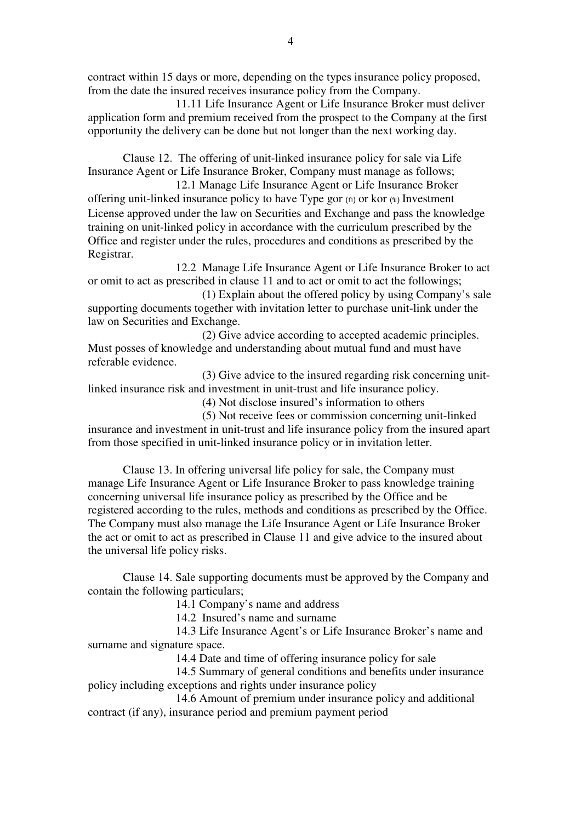contract within 15 days or more, depending on the types insurance policy proposed, from the date the insured receives insurance policy from the Company.

11.11 Life Insurance Agent or Life Insurance Broker must deliver application form and premium received from the prospect to the Company at the first opportunity the delivery can be done but not longer than the next working day.

Clause 12. The offering of unit-linked insurance policy for sale via Life Insurance Agent or Life Insurance Broker, Company must manage as follows;

12.1 Manage Life Insurance Agent or Life Insurance Broker offering unit-linked insurance policy to have Type gor  $(n)$  or kor  $(n)$  Investment License approved under the law on Securities and Exchange and pass the knowledge training on unit-linked policy in accordance with the curriculum prescribed by the Office and register under the rules, procedures and conditions as prescribed by the Registrar.

12.2 Manage Life Insurance Agent or Life Insurance Broker to act or omit to act as prescribed in clause 11 and to act or omit to act the followings;

(1) Explain about the offered policy by using Company's sale supporting documents together with invitation letter to purchase unit-link under the law on Securities and Exchange.

(2) Give advice according to accepted academic principles. Must posses of knowledge and understanding about mutual fund and must have referable evidence.

(3) Give advice to the insured regarding risk concerning unitlinked insurance risk and investment in unit-trust and life insurance policy.

(4) Not disclose insured's information to others

(5) Not receive fees or commission concerning unit-linked insurance and investment in unit-trust and life insurance policy from the insured apart from those specified in unit-linked insurance policy or in invitation letter.

Clause 13. In offering universal life policy for sale, the Company must manage Life Insurance Agent or Life Insurance Broker to pass knowledge training concerning universal life insurance policy as prescribed by the Office and be registered according to the rules, methods and conditions as prescribed by the Office. The Company must also manage the Life Insurance Agent or Life Insurance Broker the act or omit to act as prescribed in Clause 11 and give advice to the insured about the universal life policy risks.

Clause 14. Sale supporting documents must be approved by the Company and contain the following particulars;

14.1 Company's name and address

14.2 Insured's name and surname

14.3 Life Insurance Agent's or Life Insurance Broker's name and surname and signature space.

14.4 Date and time of offering insurance policy for sale

14.5 Summary of general conditions and benefits under insurance policy including exceptions and rights under insurance policy

14.6 Amount of premium under insurance policy and additional contract (if any), insurance period and premium payment period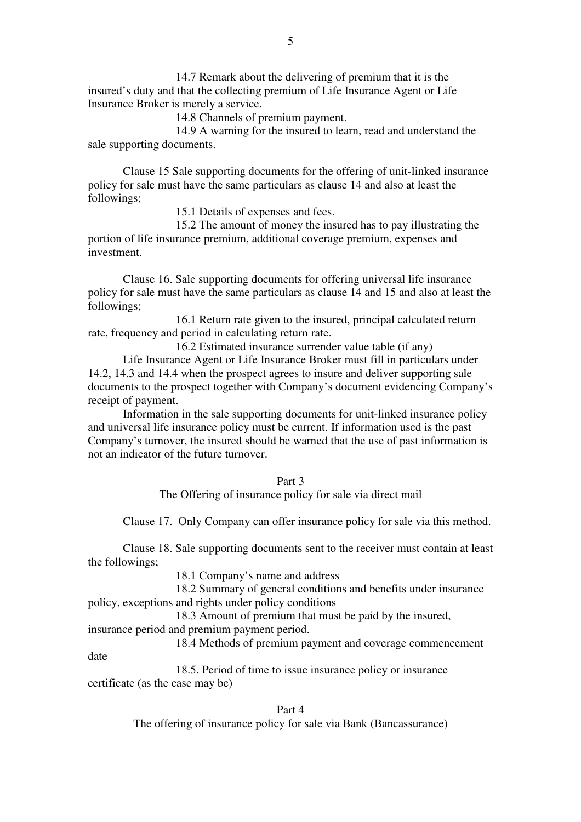14.7 Remark about the delivering of premium that it is the insured's duty and that the collecting premium of Life Insurance Agent or Life Insurance Broker is merely a service.

14.8 Channels of premium payment.

14.9 A warning for the insured to learn, read and understand the sale supporting documents.

Clause 15 Sale supporting documents for the offering of unit-linked insurance policy for sale must have the same particulars as clause 14 and also at least the followings;

15.1 Details of expenses and fees.

15.2 The amount of money the insured has to pay illustrating the portion of life insurance premium, additional coverage premium, expenses and investment.

Clause 16. Sale supporting documents for offering universal life insurance policy for sale must have the same particulars as clause 14 and 15 and also at least the followings;

16.1 Return rate given to the insured, principal calculated return rate, frequency and period in calculating return rate.

16.2 Estimated insurance surrender value table (if any)

 Life Insurance Agent or Life Insurance Broker must fill in particulars under 14.2, 14.3 and 14.4 when the prospect agrees to insure and deliver supporting sale documents to the prospect together with Company's document evidencing Company's receipt of payment.

 Information in the sale supporting documents for unit-linked insurance policy and universal life insurance policy must be current. If information used is the past Company's turnover, the insured should be warned that the use of past information is not an indicator of the future turnover.

#### Part 3

The Offering of insurance policy for sale via direct mail

Clause 17. Only Company can offer insurance policy for sale via this method.

Clause 18. Sale supporting documents sent to the receiver must contain at least the followings;

18.1 Company's name and address

18.2 Summary of general conditions and benefits under insurance policy, exceptions and rights under policy conditions

18.3 Amount of premium that must be paid by the insured,

insurance period and premium payment period.

18.4 Methods of premium payment and coverage commencement

date

 18.5. Period of time to issue insurance policy or insurance certificate (as the case may be)

## Part 4

The offering of insurance policy for sale via Bank (Bancassurance)